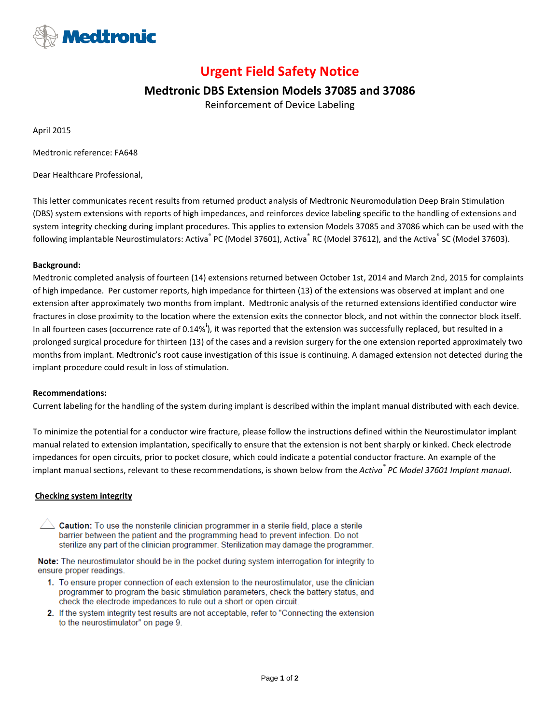

# **Urgent Field Safety Notice**

## **Medtronic DBS Extension Models 37085 and 37086**

Reinforcement of Device Labeling

April 2015

Medtronic reference: FA648

Dear Healthcare Professional,

This letter communicates recent results from returned product analysis of Medtronic Neuromodulation Deep Brain Stimulation (DBS) system extensions with reports of high impedances, and reinforces device labeling specific to the handling of extensions and system integrity checking during implant procedures. This applies to extension Models 37085 and 37086 which can be used with the following implantable Neurostimulators: Activa® PC (Model 37601), Activa® RC (Model 37612), and the Activa® SC (Model 37603).

#### **Background:**

Medtronic completed analysis of fourteen (14) extensions returned between October 1st, 2014 and March 2nd, 2015 for complaints of high impedance. Per customer reports, high impedance for thirteen (13) of the extensions was observed at implant and one extension after approximately two months from implant. Medtronic analysis of the returned extensions identified conductor wire fractures in close proximity to the location where the extension exits the connector block, and not within the connector block itself. In all fourteen cases (occurrence rate of 0.14%<sup>[i](#page-1-0)</sup>), it was reported that the extension was successfully replaced, but resulted in a prolonged surgical procedure for thirteen (13) of the cases and a revision surgery for the one extension reported approximately two months from implant. Medtronic's root cause investigation of this issue is continuing. A damaged extension not detected during the implant procedure could result in loss of stimulation.

#### **Recommendations:**

Current labeling for the handling of the system during implant is described within the implant manual distributed with each device.

To minimize the potential for a conductor wire fracture, please follow the instructions defined within the Neurostimulator implant manual related to extension implantation, specifically to ensure that the extension is not bent sharply or kinked. Check electrode impedances for open circuits, prior to pocket closure, which could indicate a potential conductor fracture. An example of the implant manual sections, relevant to these recommendations, is shown below from the *Activa® PC Model 37601 Implant manual*.

#### **Checking system integrity**

 $\triangle$  Caution: To use the nonsterile clinician programmer in a sterile field, place a sterile barrier between the patient and the programming head to prevent infection. Do not sterilize any part of the clinician programmer. Sterilization may damage the programmer.

Note: The neurostimulator should be in the pocket during system interrogation for integrity to ensure proper readings.

- 1. To ensure proper connection of each extension to the neurostimulator, use the clinician programmer to program the basic stimulation parameters, check the battery status, and check the electrode impedances to rule out a short or open circuit.
- 2. If the system integrity test results are not acceptable, refer to "Connecting the extension to the neurostimulator" on page 9.